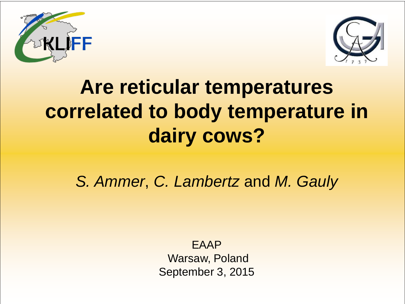



# **Are reticular temperatures correlated to body temperature in dairy cows?**

*S. Ammer*, *C. Lambertz* and *M. Gauly*

EAAP Warsaw, Poland September 3, 2015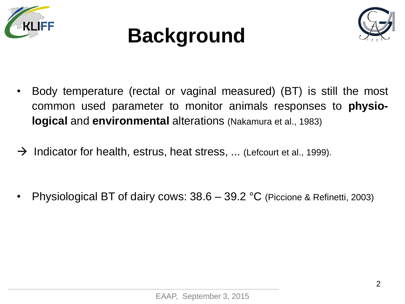





- Body temperature (rectal or vaginal measured) (BT) is still the most common used parameter to monitor animals responses to **physiological** and **environmental** alterations (Nakamura et al., 1983)
- $\rightarrow$  Indicator for health, estrus, heat stress, ... (Lefcourt et al., 1999).

• Physiological BT of dairy cows: 38.6 – 39.2 °C (Piccione & Refinetti, 2003)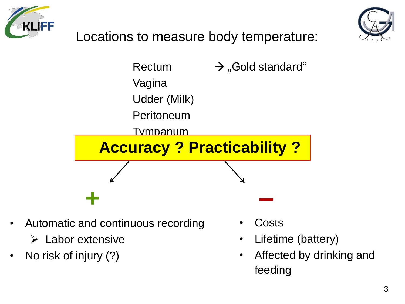



Locations to measure body temperature:



- Automatic and continuous recording
	- $\triangleright$  Labor extensive
- No risk of injury (?)
- **Costs**
- Lifetime (battery)
- Affected by drinking and feeding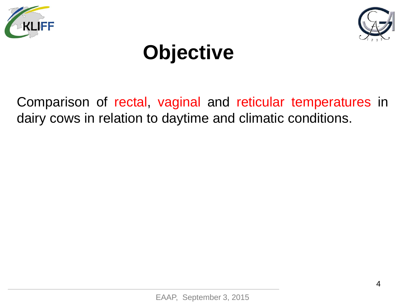



# **Objective**

Comparison of rectal, vaginal and reticular temperatures in dairy cows in relation to daytime and climatic conditions.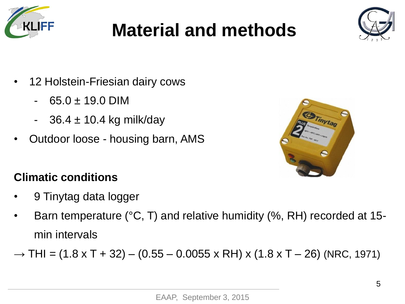

## **Material and methods**



- 12 Holstein-Friesian dairy cows
	- $65.0 \pm 19.0$  DIM
	- $36.4 \pm 10.4$  kg milk/day
- Outdoor loose housing barn, AMS



#### **Climatic conditions**

- 9 Tinytag data logger
- Barn temperature (°C, T) and relative humidity (%, RH) recorded at 15 min intervals
- $\rightarrow$  THI = (1.8 x T + 32) (0.55 0.0055 x RH) x (1.8 x T 26) (NRC, 1971)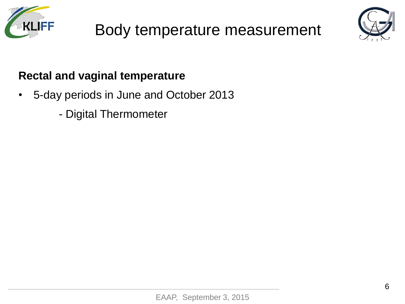





#### **Rectal and vaginal temperature**

- 5-day periods in June and October 2013
	- Digital Thermometer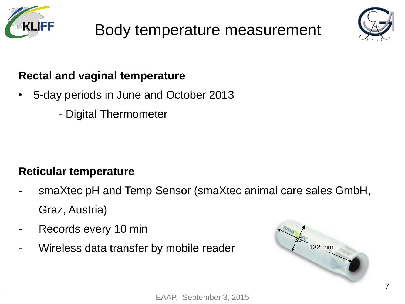





#### **Rectal and vaginal temperature**

- 5-day periods in June and October 2013
	- Digital Thermometer

#### **Reticular temperature**

- smaXtec pH and Temp Sensor (smaXtec animal care sales GmbH, Graz, Austria)
- Records every 10 min
- Wireless data transfer by mobile reader

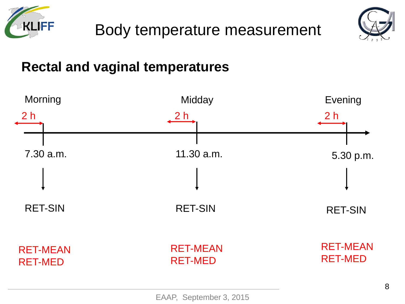



### **Rectal and vaginal temperatures**

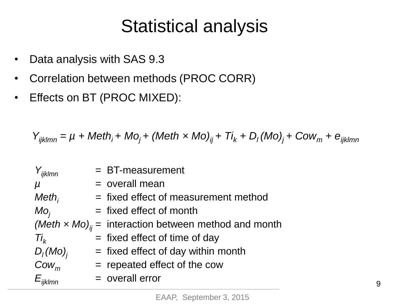## Statistical analysis

- Data analysis with SAS 9.3
- Correlation between methods (PROC CORR)
- Effects on BT (PROC MIXED):

 $Y_{ijklmn} = \mu + \mathsf{Meth}_i + \mathsf{Mo}_j + (\mathsf{Meth} \times \mathsf{Mo})_{ij} + \mathsf{Ti}_k + \mathsf{D}_l(\mathsf{Mo})_j + \mathsf{Cow}_m + e_{ijklmn}$ 

| $Y_{ijklmn}$   | $=$ BT-measurement                                                 |   |
|----------------|--------------------------------------------------------------------|---|
| $\mu$          | $=$ overall mean                                                   |   |
| $Meth_i$       | $=$ fixed effect of measurement method                             |   |
| $MO_i$         | $=$ fixed effect of month                                          |   |
|                | (Meth $x$ Mo) <sub>ii</sub> = interaction between method and month |   |
| $Ti_k$         | $=$ fixed effect of time of day                                    |   |
| $D_i (Mo)_i$   | $=$ fixed effect of day within month                               |   |
| $\text{Cow}_m$ | $=$ repeated effect of the cow                                     |   |
| $E_{ijklmn}$   | $=$ overall error                                                  | 9 |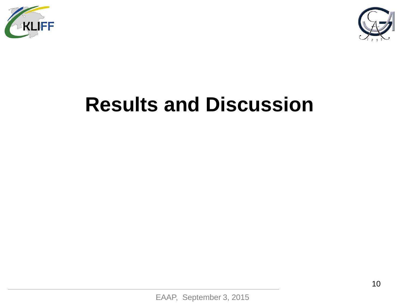



# **Results and Discussion**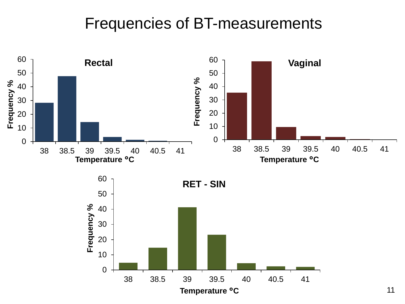### Frequencies of BT-measurements

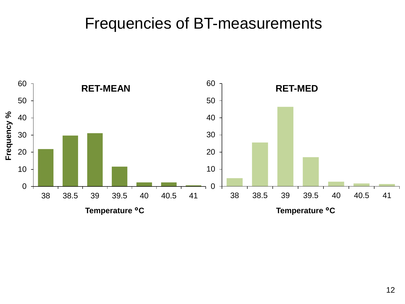### Frequencies of BT-measurements

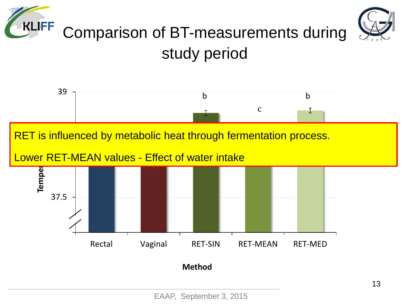

## study period

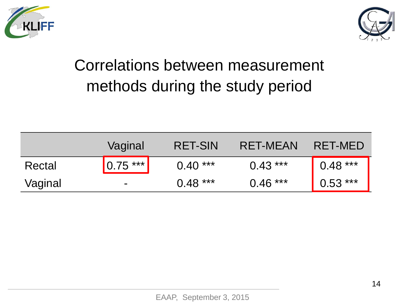



### Correlations between measurement methods during the study period

|         | Vaginal                  | <b>RET-SIN</b> | RET-MEAN  | RET-MED   |
|---------|--------------------------|----------------|-----------|-----------|
| Rectal  | $\vert 0.75 \rangle$ *** | $0.40***$      | $0.43***$ | $0.48***$ |
| Vaginal | $\blacksquare$           | $0.48***$      | $0.46***$ | $0.53***$ |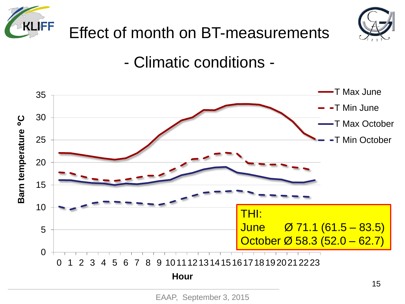



### - Climatic conditions -



EAAP, September 3, 2015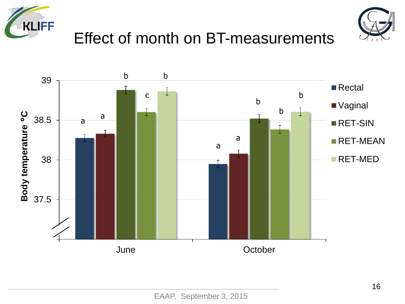



### Effect of month on BT-measurements

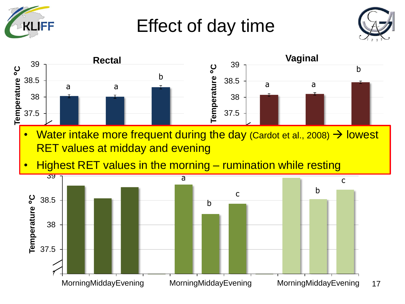

Effect of day time



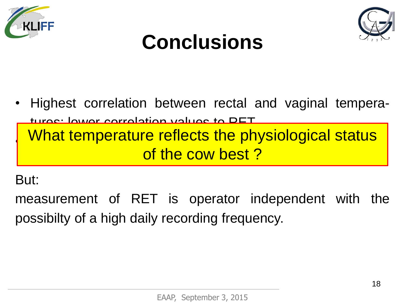



## **Conclusions**

• Highest correlation between rectal and vaginal temperaturge: lower correlation values to RET Permit is interesting the measured values in the measured values of the measured values of the measured values What temperature reflects the physiological status of the cow best ?

#### But:

measurement of RET is operator independent with the possibilty of a high daily recording frequency.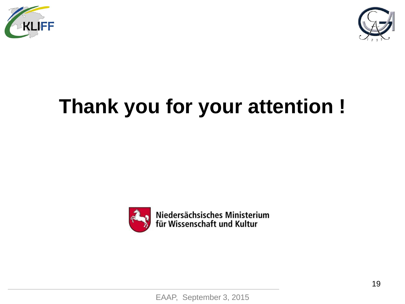



# **Thank you for your attention !**



Niedersächsisches Ministerium<br>für Wissenschaft und Kultur